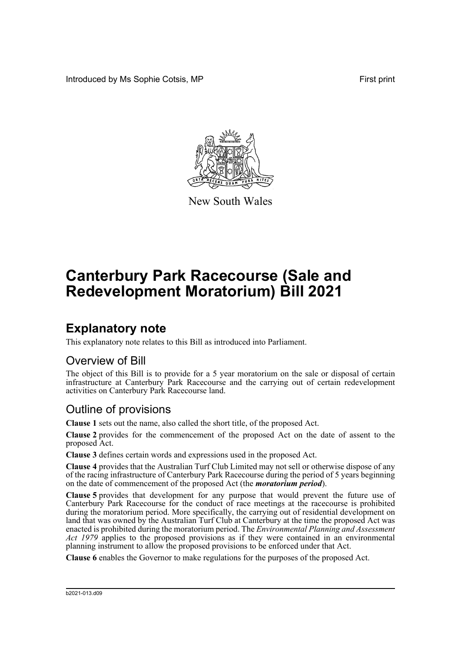Introduced by Ms Sophie Cotsis, MP **First print First print** 



New South Wales

# **Canterbury Park Racecourse (Sale and Redevelopment Moratorium) Bill 2021**

## **Explanatory note**

This explanatory note relates to this Bill as introduced into Parliament.

#### Overview of Bill

The object of this Bill is to provide for a 5 year moratorium on the sale or disposal of certain infrastructure at Canterbury Park Racecourse and the carrying out of certain redevelopment activities on Canterbury Park Racecourse land.

### Outline of provisions

**Clause 1** sets out the name, also called the short title, of the proposed Act.

**Clause 2** provides for the commencement of the proposed Act on the date of assent to the proposed Act.

**Clause 3** defines certain words and expressions used in the proposed Act.

**Clause 4** provides that the Australian Turf Club Limited may not sell or otherwise dispose of any of the racing infrastructure of Canterbury Park Racecourse during the period of 5 years beginning on the date of commencement of the proposed Act (the *moratorium period*).

**Clause 5** provides that development for any purpose that would prevent the future use of Canterbury Park Racecourse for the conduct of race meetings at the racecourse is prohibited during the moratorium period. More specifically, the carrying out of residential development on land that was owned by the Australian Turf Club at Canterbury at the time the proposed Act was enacted is prohibited during the moratorium period. The *Environmental Planning and Assessment Act 1979* applies to the proposed provisions as if they were contained in an environmental planning instrument to allow the proposed provisions to be enforced under that Act.

**Clause 6** enables the Governor to make regulations for the purposes of the proposed Act.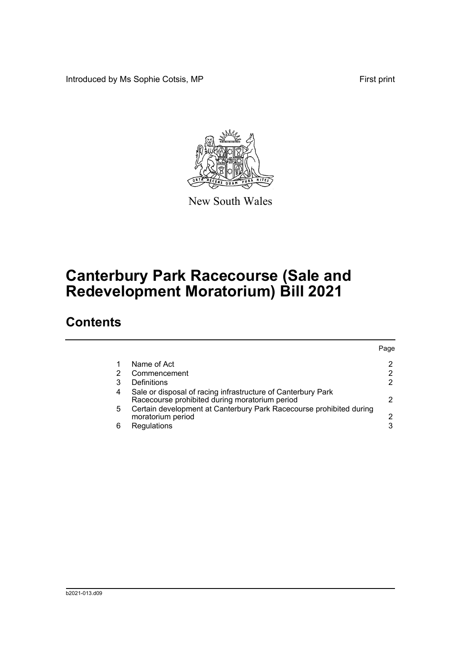Introduced by Ms Sophie Cotsis, MP **First print** First print



New South Wales

## **Canterbury Park Racecourse (Sale and Redevelopment Moratorium) Bill 2021**

### **Contents**

|   |                                                                                                                | Page |
|---|----------------------------------------------------------------------------------------------------------------|------|
|   | Name of Act                                                                                                    |      |
|   | Commencement                                                                                                   |      |
| 3 | Definitions                                                                                                    |      |
| 4 | Sale or disposal of racing infrastructure of Canterbury Park<br>Racecourse prohibited during moratorium period |      |
| 5 | Certain development at Canterbury Park Racecourse prohibited during<br>moratorium period                       |      |
| 6 | Regulations                                                                                                    |      |
|   |                                                                                                                |      |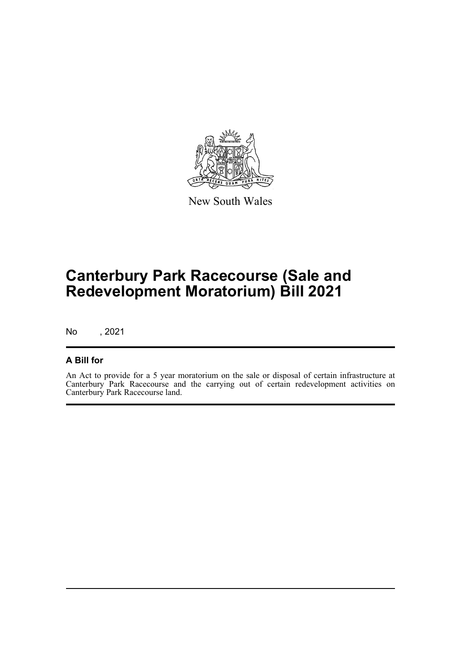

New South Wales

## **Canterbury Park Racecourse (Sale and Redevelopment Moratorium) Bill 2021**

No , 2021

#### **A Bill for**

An Act to provide for a 5 year moratorium on the sale or disposal of certain infrastructure at Canterbury Park Racecourse and the carrying out of certain redevelopment activities on Canterbury Park Racecourse land.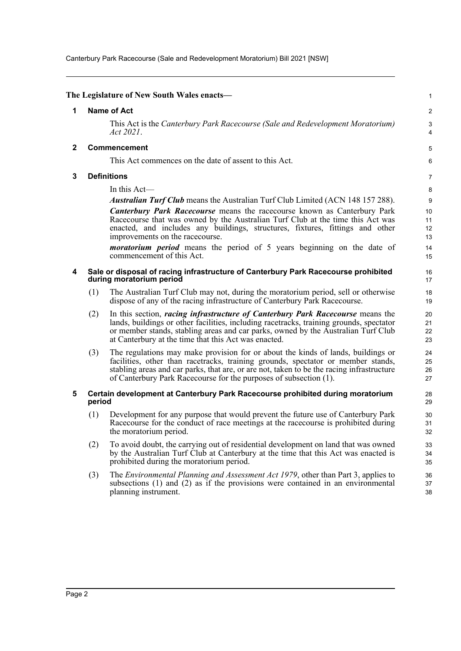Canterbury Park Racecourse (Sale and Redevelopment Moratorium) Bill 2021 [NSW]

<span id="page-3-4"></span><span id="page-3-3"></span><span id="page-3-2"></span><span id="page-3-1"></span><span id="page-3-0"></span>

|              |                    | The Legislature of New South Wales enacts—                                                                                                                                                                                                                                                                                             | $\mathbf{1}$         |  |
|--------------|--------------------|----------------------------------------------------------------------------------------------------------------------------------------------------------------------------------------------------------------------------------------------------------------------------------------------------------------------------------------|----------------------|--|
|              |                    |                                                                                                                                                                                                                                                                                                                                        |                      |  |
| 1            |                    | <b>Name of Act</b>                                                                                                                                                                                                                                                                                                                     | $\overline{c}$       |  |
|              |                    | This Act is the Canterbury Park Racecourse (Sale and Redevelopment Moratorium)<br>Act 2021.                                                                                                                                                                                                                                            | 3<br>4               |  |
| $\mathbf{2}$ |                    | <b>Commencement</b>                                                                                                                                                                                                                                                                                                                    | 5                    |  |
|              |                    | This Act commences on the date of assent to this Act.                                                                                                                                                                                                                                                                                  | 6                    |  |
| 3            | <b>Definitions</b> |                                                                                                                                                                                                                                                                                                                                        |                      |  |
|              |                    | In this $Act$ —                                                                                                                                                                                                                                                                                                                        | 8                    |  |
|              |                    | <b>Australian Turf Club</b> means the Australian Turf Club Limited (ACN 148 157 288).                                                                                                                                                                                                                                                  | 9                    |  |
|              |                    | <b>Canterbury Park Racecourse</b> means the racecourse known as Canterbury Park                                                                                                                                                                                                                                                        | 10                   |  |
|              |                    | Racecourse that was owned by the Australian Turf Club at the time this Act was                                                                                                                                                                                                                                                         | 11                   |  |
|              |                    | enacted, and includes any buildings, structures, fixtures, fittings and other<br>improvements on the racecourse.                                                                                                                                                                                                                       | 12<br>13             |  |
|              |                    | <i>moratorium period</i> means the period of 5 years beginning on the date of<br>commencement of this Act.                                                                                                                                                                                                                             | 14<br>15             |  |
| 4            |                    | Sale or disposal of racing infrastructure of Canterbury Park Racecourse prohibited<br>during moratorium period                                                                                                                                                                                                                         | 16<br>17             |  |
|              | (1)                | The Australian Turf Club may not, during the moratorium period, sell or otherwise<br>dispose of any of the racing infrastructure of Canterbury Park Racecourse.                                                                                                                                                                        | 18<br>19             |  |
|              | (2)                | In this section, <i>racing infrastructure of Canterbury Park Racecourse</i> means the<br>lands, buildings or other facilities, including racetracks, training grounds, spectator<br>or member stands, stabling areas and car parks, owned by the Australian Turf Club<br>at Canterbury at the time that this Act was enacted.          | 20<br>21<br>22<br>23 |  |
|              | (3)                | The regulations may make provision for or about the kinds of lands, buildings or<br>facilities, other than racetracks, training grounds, spectator or member stands,<br>stabling areas and car parks, that are, or are not, taken to be the racing infrastructure<br>of Canterbury Park Racecourse for the purposes of subsection (1). | 24<br>25<br>26<br>27 |  |
| 5            | period             | Certain development at Canterbury Park Racecourse prohibited during moratorium                                                                                                                                                                                                                                                         | 28<br>29             |  |
|              | (1)                | Development for any purpose that would prevent the future use of Canterbury Park<br>Race course for the conduct of race meetings at the race course is prohibited during<br>the moratorium period.                                                                                                                                     | 30<br>31<br>32       |  |
|              | (2)                | To avoid doubt, the carrying out of residential development on land that was owned<br>by the Australian Turf Club at Canterbury at the time that this Act was enacted is<br>prohibited during the moratorium period.                                                                                                                   | 33<br>34<br>35       |  |
|              | (3)                | The Environmental Planning and Assessment Act 1979, other than Part 3, applies to<br>subsections $(1)$ and $(2)$ as if the provisions were contained in an environmental<br>planning instrument.                                                                                                                                       | 36<br>37<br>38       |  |
|              |                    |                                                                                                                                                                                                                                                                                                                                        |                      |  |